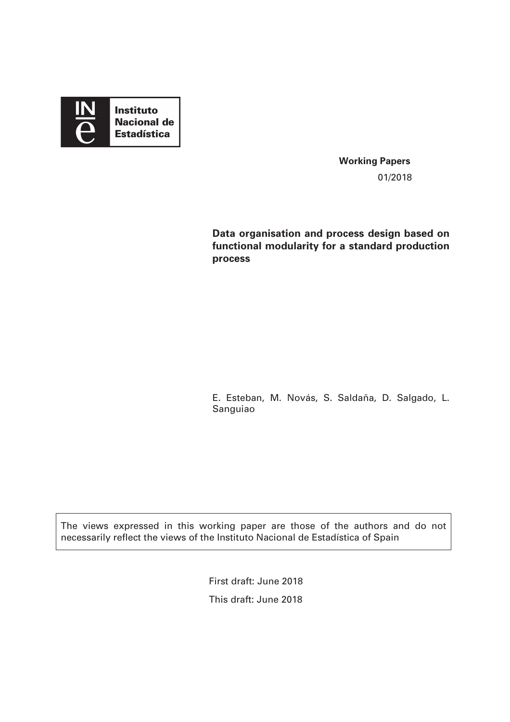

**Working Papers**  01/2018

**Data organisation and process design based on functional modularity for a standard production process** 

E. Esteban, M. Novás, S. Saldaña, D. Salgado, L. Sanguiao

The views expressed in this working paper are those of the authors and do not necessarily reflect the views of the Instituto Nacional de Estadística of Spain

> First draft: June 2018 This draft: June 2018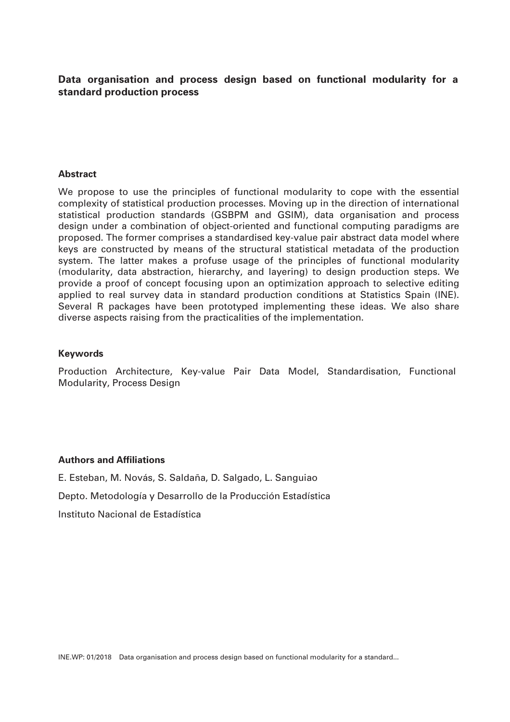# **Data organisation and process design based on functional modularity for a standard production process**

### **Abstract**

We propose to use the principles of functional modularity to cope with the essential complexity of statistical production processes. Moving up in the direction of international statistical production standards (GSBPM and GSIM), data organisation and process design under a combination of object-oriented and functional computing paradigms are proposed. The former comprises a standardised key-value pair abstract data model where keys are constructed by means of the structural statistical metadata of the production system. The latter makes a profuse usage of the principles of functional modularity (modularity, data abstraction, hierarchy, and layering) to design production steps. We provide a proof of concept focusing upon an optimization approach to selective editing applied to real survey data in standard production conditions at Statistics Spain (INE). Several R packages have been prototyped implementing these ideas. We also share diverse aspects raising from the practicalities of the implementation.

### **Keywords**

Production Architecture, Key-value Pair Data Model, Standardisation, Functional Modularity, Process Design

### **Authors and Affiliations**

E. Esteban, M. Novás, S. Saldaña, D. Salgado, L. Sanguiao

Depto. Metodología y Desarrollo de la Producción Estadística

Instituto Nacional de Estadística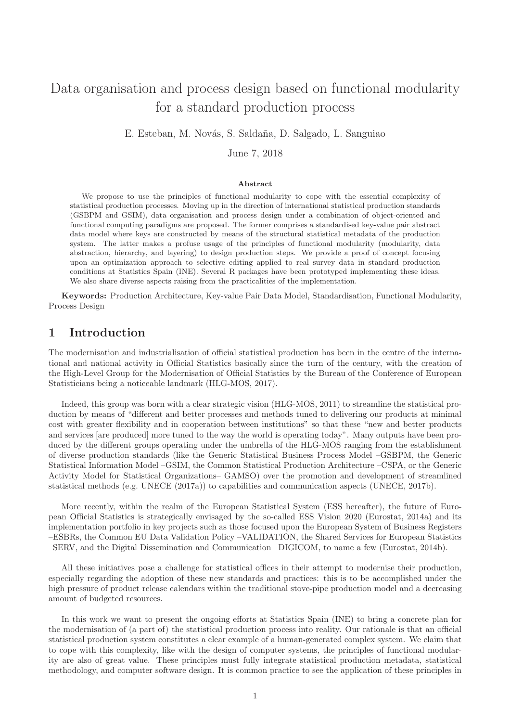# Data organisation and process design based on functional modularity for a standard production process

E. Esteban, M. Novás, S. Saldaña, D. Salgado, L. Sanguiao

June 7, 2018

#### Abstract

We propose to use the principles of functional modularity to cope with the essential complexity of statistical production processes. Moving up in the direction of international statistical production standards (GSBPM and GSIM), data organisation and process design under a combination of object-oriented and functional computing paradigms are proposed. The former comprises a standardised key-value pair abstract data model where keys are constructed by means of the structural statistical metadata of the production system. The latter makes a profuse usage of the principles of functional modularity (modularity, data abstraction, hierarchy, and layering) to design production steps. We provide a proof of concept focusing upon an optimization approach to selective editing applied to real survey data in standard production conditions at Statistics Spain (INE). Several R packages have been prototyped implementing these ideas. We also share diverse aspects raising from the practicalities of the implementation.

Keywords: Production Architecture, Key-value Pair Data Model, Standardisation, Functional Modularity, Process Design

# 1 Introduction

The modernisation and industrialisation of official statistical production has been in the centre of the international and national activity in Official Statistics basically since the turn of the century, with the creation of the High-Level Group for the Modernisation of Official Statistics by the Bureau of the Conference of European Statisticians being a noticeable landmark (HLG-MOS, 2017).

Indeed, this group was born with a clear strategic vision (HLG-MOS, 2011) to streamline the statistical production by means of "different and better processes and methods tuned to delivering our products at minimal cost with greater flexibility and in cooperation between institutions" so that these "new and better products and services [are produced] more tuned to the way the world is operating today". Many outputs have been produced by the different groups operating under the umbrella of the HLG-MOS ranging from the establishment of diverse production standards (like the Generic Statistical Business Process Model –GSBPM, the Generic Statistical Information Model –GSIM, the Common Statistical Production Architecture –CSPA, or the Generic Activity Model for Statistical Organizations– GAMSO) over the promotion and development of streamlined statistical methods (e.g. UNECE (2017a)) to capabilities and communication aspects (UNECE, 2017b).

More recently, within the realm of the European Statistical System (ESS hereafter), the future of European Official Statistics is strategically envisaged by the so-called ESS Vision 2020 (Eurostat, 2014a) and its implementation portfolio in key projects such as those focused upon the European System of Business Registers –ESBRs, the Common EU Data Validation Policy –VALIDATION, the Shared Services for European Statistics –SERV, and the Digital Dissemination and Communication –DIGICOM, to name a few (Eurostat, 2014b).

All these initiatives pose a challenge for statistical offices in their attempt to modernise their production, especially regarding the adoption of these new standards and practices: this is to be accomplished under the high pressure of product release calendars within the traditional stove-pipe production model and a decreasing amount of budgeted resources.

In this work we want to present the ongoing efforts at Statistics Spain (INE) to bring a concrete plan for the modernisation of (a part of) the statistical production process into reality. Our rationale is that an official statistical production system constitutes a clear example of a human-generated complex system. We claim that to cope with this complexity, like with the design of computer systems, the principles of functional modularity are also of great value. These principles must fully integrate statistical production metadata, statistical methodology, and computer software design. It is common practice to see the application of these principles in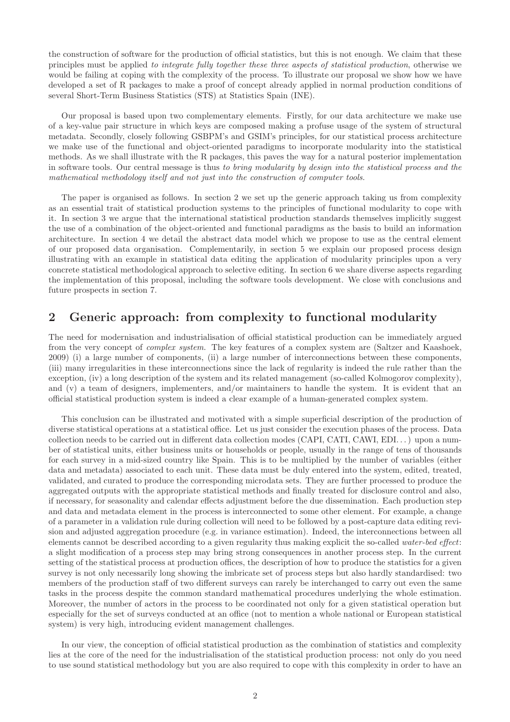the construction of software for the production of official statistics, but this is not enough. We claim that these principles must be applied to integrate fully together these three aspects of statistical production, otherwise we would be failing at coping with the complexity of the process. To illustrate our proposal we show how we have developed a set of R packages to make a proof of concept already applied in normal production conditions of several Short-Term Business Statistics (STS) at Statistics Spain (INE).

Our proposal is based upon two complementary elements. Firstly, for our data architecture we make use of a key-value pair structure in which keys are composed making a profuse usage of the system of structural metadata. Secondly, closely following GSBPM's and GSIM's principles, for our statistical process architecture we make use of the functional and object-oriented paradigms to incorporate modularity into the statistical methods. As we shall illustrate with the R packages, this paves the way for a natural posterior implementation in software tools. Our central message is thus to bring modularity by design into the statistical process and the mathematical methodology itself and not just into the construction of computer tools.

The paper is organised as follows. In section 2 we set up the generic approach taking us from complexity as an essential trait of statistical production systems to the principles of functional modularity to cope with it. In section 3 we argue that the international statistical production standards themselves implicitly suggest the use of a combination of the object-oriented and functional paradigms as the basis to build an information architecture. In section 4 we detail the abstract data model which we propose to use as the central element of our proposed data organisation. Complementarily, in section 5 we explain our proposed process design illustrating with an example in statistical data editing the application of modularity principles upon a very concrete statistical methodological approach to selective editing. In section 6 we share diverse aspects regarding the implementation of this proposal, including the software tools development. We close with conclusions and future prospects in section 7.

### 2 Generic approach: from complexity to functional modularity

The need for modernisation and industrialisation of official statistical production can be immediately argued from the very concept of complex system. The key features of a complex system are (Saltzer and Kaashoek, 2009) (i) a large number of components, (ii) a large number of interconnections between these components, (iii) many irregularities in these interconnections since the lack of regularity is indeed the rule rather than the exception, (iv) a long description of the system and its related management (so-called Kolmogorov complexity), and (v) a team of designers, implementers, and/or maintainers to handle the system. It is evident that an official statistical production system is indeed a clear example of a human-generated complex system.

This conclusion can be illustrated and motivated with a simple superficial description of the production of diverse statistical operations at a statistical office. Let us just consider the execution phases of the process. Data collection needs to be carried out in different data collection modes (CAPI, CATI, CAWI, EDI. . . ) upon a number of statistical units, either business units or households or people, usually in the range of tens of thousands for each survey in a mid-sized country like Spain. This is to be multiplied by the number of variables (either data and metadata) associated to each unit. These data must be duly entered into the system, edited, treated, validated, and curated to produce the corresponding microdata sets. They are further processed to produce the aggregated outputs with the appropriate statistical methods and finally treated for disclosure control and also, if necessary, for seasonality and calendar effects adjustment before the due dissemination. Each production step and data and metadata element in the process is interconnected to some other element. For example, a change of a parameter in a validation rule during collection will need to be followed by a post-capture data editing revision and adjusted aggregation procedure (e.g. in variance estimation). Indeed, the interconnections between all elements cannot be described according to a given regularity thus making explicit the so-called water-bed effect: a slight modification of a process step may bring strong consequences in another process step. In the current setting of the statistical process at production offices, the description of how to produce the statistics for a given survey is not only necessarily long showing the imbricate set of process steps but also hardly standardised: two members of the production staff of two different surveys can rarely be interchanged to carry out even the same tasks in the process despite the common standard mathematical procedures underlying the whole estimation. Moreover, the number of actors in the process to be coordinated not only for a given statistical operation but especially for the set of surveys conducted at an office (not to mention a whole national or European statistical system) is very high, introducing evident management challenges.

In our view, the conception of official statistical production as the combination of statistics and complexity lies at the core of the need for the industrialisation of the statistical production process: not only do you need to use sound statistical methodology but you are also required to cope with this complexity in order to have an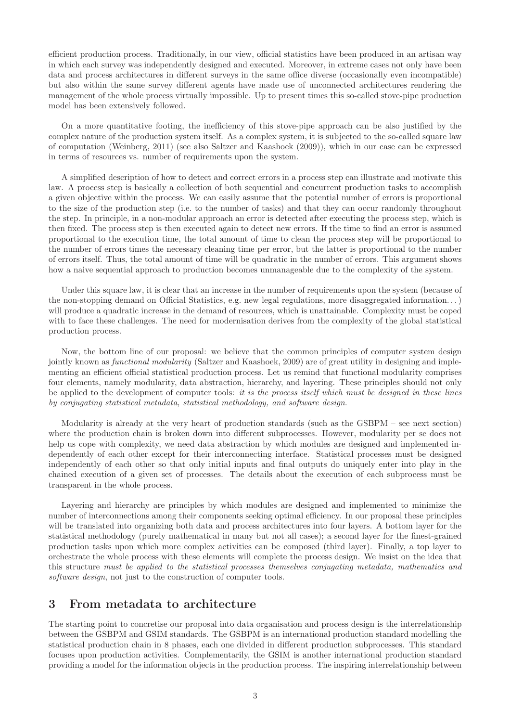efficient production process. Traditionally, in our view, official statistics have been produced in an artisan way in which each survey was independently designed and executed. Moreover, in extreme cases not only have been data and process architectures in different surveys in the same office diverse (occasionally even incompatible) but also within the same survey different agents have made use of unconnected architectures rendering the management of the whole process virtually impossible. Up to present times this so-called stove-pipe production model has been extensively followed.

On a more quantitative footing, the inefficiency of this stove-pipe approach can be also justified by the complex nature of the production system itself. As a complex system, it is subjected to the so-called square law of computation (Weinberg, 2011) (see also Saltzer and Kaashoek (2009)), which in our case can be expressed in terms of resources vs. number of requirements upon the system.

A simplified description of how to detect and correct errors in a process step can illustrate and motivate this law. A process step is basically a collection of both sequential and concurrent production tasks to accomplish a given objective within the process. We can easily assume that the potential number of errors is proportional to the size of the production step (i.e. to the number of tasks) and that they can occur randomly throughout the step. In principle, in a non-modular approach an error is detected after executing the process step, which is then fixed. The process step is then executed again to detect new errors. If the time to find an error is assumed proportional to the execution time, the total amount of time to clean the process step will be proportional to the number of errors times the necessary cleaning time per error, but the latter is proportional to the number of errors itself. Thus, the total amount of time will be quadratic in the number of errors. This argument shows how a naive sequential approach to production becomes unmanageable due to the complexity of the system.

Under this square law, it is clear that an increase in the number of requirements upon the system (because of the non-stopping demand on Official Statistics, e.g. new legal regulations, more disaggregated information. . . ) will produce a quadratic increase in the demand of resources, which is unattainable. Complexity must be coped with to face these challenges. The need for modernisation derives from the complexity of the global statistical production process.

Now, the bottom line of our proposal: we believe that the common principles of computer system design jointly known as functional modularity (Saltzer and Kaashoek, 2009) are of great utility in designing and implementing an efficient official statistical production process. Let us remind that functional modularity comprises four elements, namely modularity, data abstraction, hierarchy, and layering. These principles should not only be applied to the development of computer tools: it is the process itself which must be designed in these lines by conjugating statistical metadata, statistical methodology, and software design.

Modularity is already at the very heart of production standards (such as the GSBPM – see next section) where the production chain is broken down into different subprocesses. However, modularity per se does not help us cope with complexity, we need data abstraction by which modules are designed and implemented independently of each other except for their interconnecting interface. Statistical processes must be designed independently of each other so that only initial inputs and final outputs do uniquely enter into play in the chained execution of a given set of processes. The details about the execution of each subprocess must be transparent in the whole process.

Layering and hierarchy are principles by which modules are designed and implemented to minimize the number of interconnections among their components seeking optimal efficiency. In our proposal these principles will be translated into organizing both data and process architectures into four layers. A bottom layer for the statistical methodology (purely mathematical in many but not all cases); a second layer for the finest-grained production tasks upon which more complex activities can be composed (third layer). Finally, a top layer to orchestrate the whole process with these elements will complete the process design. We insist on the idea that this structure must be applied to the statistical processes themselves conjugating metadata, mathematics and software design, not just to the construction of computer tools.

### 3 From metadata to architecture

The starting point to concretise our proposal into data organisation and process design is the interrelationship between the GSBPM and GSIM standards. The GSBPM is an international production standard modelling the statistical production chain in 8 phases, each one divided in different production subprocesses. This standard focuses upon production activities. Complementarily, the GSIM is another international production standard providing a model for the information objects in the production process. The inspiring interrelationship between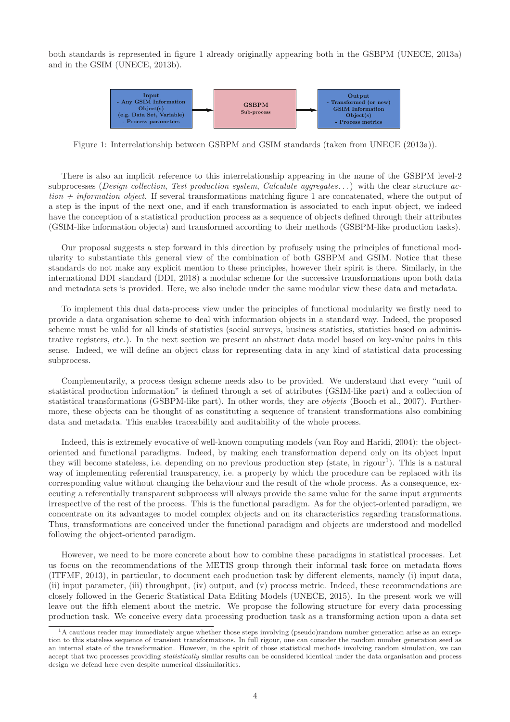both standards is represented in figure 1 already originally appearing both in the GSBPM (UNECE, 2013a) and in the GSIM (UNECE, 2013b).



Figure 1: Interrelationship between GSBPM and GSIM standards (taken from UNECE (2013a)).

There is also an implicit reference to this interrelationship appearing in the name of the GSBPM level-2 subprocesses (Design collection, Test production system, Calculate aggregates...) with the clear structure ac $tion + information object.$  If several transformations matching figure 1 are concatenated, where the output of a step is the input of the next one, and if each transformation is associated to each input object, we indeed have the conception of a statistical production process as a sequence of objects defined through their attributes (GSIM-like information objects) and transformed according to their methods (GSBPM-like production tasks).

Our proposal suggests a step forward in this direction by profusely using the principles of functional modularity to substantiate this general view of the combination of both GSBPM and GSIM. Notice that these standards do not make any explicit mention to these principles, however their spirit is there. Similarly, in the international DDI standard (DDI, 2018) a modular scheme for the successive transformations upon both data and metadata sets is provided. Here, we also include under the same modular view these data and metadata.

To implement this dual data-process view under the principles of functional modularity we firstly need to provide a data organisation scheme to deal with information objects in a standard way. Indeed, the proposed scheme must be valid for all kinds of statistics (social surveys, business statistics, statistics based on administrative registers, etc.). In the next section we present an abstract data model based on key-value pairs in this sense. Indeed, we will define an object class for representing data in any kind of statistical data processing subprocess.

Complementarily, a process design scheme needs also to be provided. We understand that every "unit of statistical production information" is defined through a set of attributes (GSIM-like part) and a collection of statistical transformations (GSBPM-like part). In other words, they are objects (Booch et al., 2007). Furthermore, these objects can be thought of as constituting a sequence of transient transformations also combining data and metadata. This enables traceability and auditability of the whole process.

Indeed, this is extremely evocative of well-known computing models (van Roy and Haridi, 2004): the objectoriented and functional paradigms. Indeed, by making each transformation depend only on its object input they will become stateless, i.e. depending on no previous production step (state, in rigour<sup>1</sup>). This is a natural way of implementing referential transparency, i.e. a property by which the procedure can be replaced with its corresponding value without changing the behaviour and the result of the whole process. As a consequence, executing a referentially transparent subprocess will always provide the same value for the same input arguments irrespective of the rest of the process. This is the functional paradigm. As for the object-oriented paradigm, we concentrate on its advantages to model complex objects and on its characteristics regarding transformations. Thus, transformations are conceived under the functional paradigm and objects are understood and modelled following the object-oriented paradigm.

However, we need to be more concrete about how to combine these paradigms in statistical processes. Let us focus on the recommendations of the METIS group through their informal task force on metadata flows (ITFMF, 2013), in particular, to document each production task by different elements, namely (i) input data, (ii) input parameter, (iii) throughput, (iv) output, and (v) process metric. Indeed, these recommendations are closely followed in the Generic Statistical Data Editing Models (UNECE, 2015). In the present work we will leave out the fifth element about the metric. We propose the following structure for every data processing production task. We conceive every data processing production task as a transforming action upon a data set

 ${}^{1}$ A cautious reader may immediately argue whether those steps involving (pseudo)random number generation arise as an exception to this stateless sequence of transient transformations. In full rigour, one can consider the random number generation seed as an internal state of the transformation. However, in the spirit of those statistical methods involving random simulation, we can accept that two processes providing statistically similar results can be considered identical under the data organisation and process design we defend here even despite numerical dissimilarities.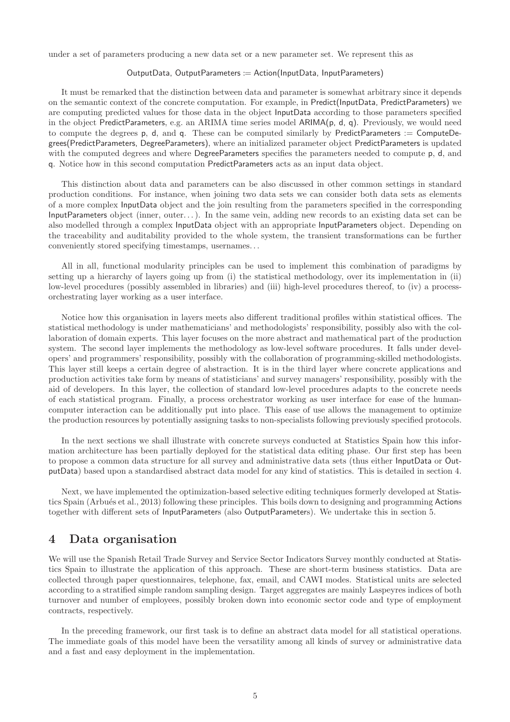under a set of parameters producing a new data set or a new parameter set. We represent this as

#### OutputData, OutputParameters := Action(InputData, InputParameters)

It must be remarked that the distinction between data and parameter is somewhat arbitrary since it depends on the semantic context of the concrete computation. For example, in Predict(InputData, PredictParameters) we are computing predicted values for those data in the object InputData according to those parameters specified in the object PredictParameters, e.g. an ARIMA time series model ARIMA(p, d, q). Previously, we would need to compute the degrees p, d, and q. These can be computed similarly by PredictParameters := ComputeDegrees(PredictParameters, DegreeParameters), where an initialized parameter object PredictParameters is updated with the computed degrees and where DegreeParameters specifies the parameters needed to compute p, d, and q. Notice how in this second computation PredictParameters acts as an input data object.

This distinction about data and parameters can be also discussed in other common settings in standard production conditions. For instance, when joining two data sets we can consider both data sets as elements of a more complex InputData object and the join resulting from the parameters specified in the corresponding InputParameters object (inner, outer. . . ). In the same vein, adding new records to an existing data set can be also modelled through a complex InputData object with an appropriate InputParameters object. Depending on the traceability and auditability provided to the whole system, the transient transformations can be further conveniently stored specifying timestamps, usernames. . .

All in all, functional modularity principles can be used to implement this combination of paradigms by setting up a hierarchy of layers going up from (i) the statistical methodology, over its implementation in (ii) low-level procedures (possibly assembled in libraries) and (iii) high-level procedures thereof, to (iv) a processorchestrating layer working as a user interface.

Notice how this organisation in layers meets also different traditional profiles within statistical offices. The statistical methodology is under mathematicians' and methodologists' responsibility, possibly also with the collaboration of domain experts. This layer focuses on the more abstract and mathematical part of the production system. The second layer implements the methodology as low-level software procedures. It falls under developers' and programmers' responsibility, possibly with the collaboration of programming-skilled methodologists. This layer still keeps a certain degree of abstraction. It is in the third layer where concrete applications and production activities take form by means of statisticians' and survey managers' responsibility, possibly with the aid of developers. In this layer, the collection of standard low-level procedures adapts to the concrete needs of each statistical program. Finally, a process orchestrator working as user interface for ease of the humancomputer interaction can be additionally put into place. This ease of use allows the management to optimize the production resources by potentially assigning tasks to non-specialists following previously specified protocols.

In the next sections we shall illustrate with concrete surveys conducted at Statistics Spain how this information architecture has been partially deployed for the statistical data editing phase. Our first step has been to propose a common data structure for all survey and administrative data sets (thus either InputData or OutputData) based upon a standardised abstract data model for any kind of statistics. This is detailed in section 4.

Next, we have implemented the optimization-based selective editing techniques formerly developed at Statistics Spain (Arbués et al., 2013) following these principles. This boils down to designing and programming Actions together with different sets of InputParameters (also OutputParameters). We undertake this in section 5.

### 4 Data organisation

We will use the Spanish Retail Trade Survey and Service Sector Indicators Survey monthly conducted at Statistics Spain to illustrate the application of this approach. These are short-term business statistics. Data are collected through paper questionnaires, telephone, fax, email, and CAWI modes. Statistical units are selected according to a stratified simple random sampling design. Target aggregates are mainly Laspeyres indices of both turnover and number of employees, possibly broken down into economic sector code and type of employment contracts, respectively.

In the preceding framework, our first task is to define an abstract data model for all statistical operations. The immediate goals of this model have been the versatility among all kinds of survey or administrative data and a fast and easy deployment in the implementation.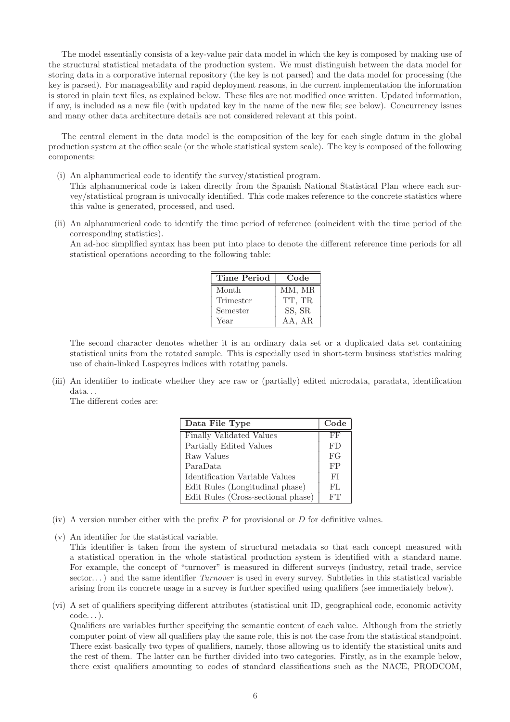The model essentially consists of a key-value pair data model in which the key is composed by making use of the structural statistical metadata of the production system. We must distinguish between the data model for storing data in a corporative internal repository (the key is not parsed) and the data model for processing (the key is parsed). For manageability and rapid deployment reasons, in the current implementation the information is stored in plain text files, as explained below. These files are not modified once written. Updated information, if any, is included as a new file (with updated key in the name of the new file; see below). Concurrency issues and many other data architecture details are not considered relevant at this point.

The central element in the data model is the composition of the key for each single datum in the global production system at the office scale (or the whole statistical system scale). The key is composed of the following components:

(i) An alphanumerical code to identify the survey/statistical program.

This alphanumerical code is taken directly from the Spanish National Statistical Plan where each survey/statistical program is univocally identified. This code makes reference to the concrete statistics where this value is generated, processed, and used.

(ii) An alphanumerical code to identify the time period of reference (coincident with the time period of the corresponding statistics).

An ad-hoc simplified syntax has been put into place to denote the different reference time periods for all statistical operations according to the following table:

| Time Period | Code   |
|-------------|--------|
| Month       | MM, MR |
| Trimester   | TT. TR |
| Semester    | SS, SR |
| Year        | AA, AR |

The second character denotes whether it is an ordinary data set or a duplicated data set containing statistical units from the rotated sample. This is especially used in short-term business statistics making use of chain-linked Laspeyres indices with rotating panels.

(iii) An identifier to indicate whether they are raw or (partially) edited microdata, paradata, identification data...

The different codes are:

| Data File Type                     | Code |
|------------------------------------|------|
| Finally Validated Values           | FF   |
| Partially Edited Values            | FD   |
| Raw Values                         | FG   |
| ParaData                           | FP   |
| Identification Variable Values     | FI   |
| Edit Rules (Longitudinal phase)    | FL   |
| Edit Rules (Cross-sectional phase) | FТ   |

- (iv) A version number either with the prefix  $P$  for provisional or  $D$  for definitive values.
- (v) An identifier for the statistical variable. This identifier is taken from the system of structural metadata so that each concept measured with a statistical operation in the whole statistical production system is identified with a standard name. For example, the concept of "turnover" is measured in different surveys (industry, retail trade, service sector...) and the same identifier  $Turnover$  is used in every survey. Subtleties in this statistical variable arising from its concrete usage in a survey is further specified using qualifiers (see immediately below).
- (vi) A set of qualifiers specifying different attributes (statistical unit ID, geographical code, economic activity code. . . ).

Qualifiers are variables further specifying the semantic content of each value. Although from the strictly computer point of view all qualifiers play the same role, this is not the case from the statistical standpoint. There exist basically two types of qualifiers, namely, those allowing us to identify the statistical units and the rest of them. The latter can be further divided into two categories. Firstly, as in the example below, there exist qualifiers amounting to codes of standard classifications such as the NACE, PRODCOM,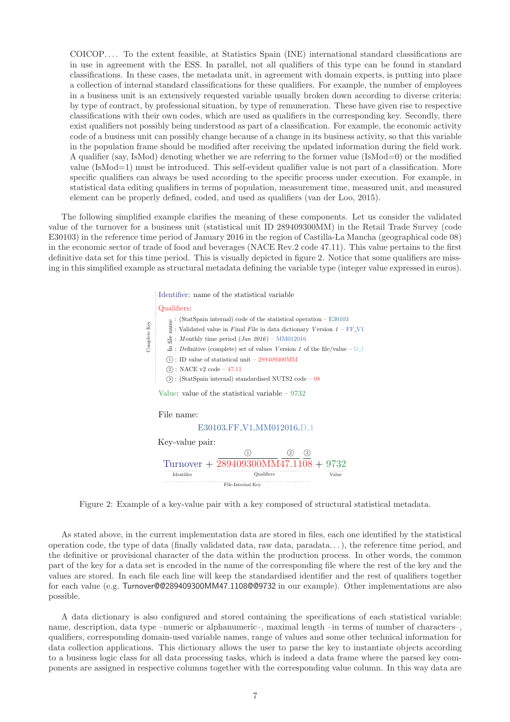COICOP. . . . To the extent feasible, at Statistics Spain (INE) international standard classifications are in use in agreement with the ESS. In parallel, not all qualifiers of this type can be found in standard classifications. In these cases, the metadata unit, in agreement with domain experts, is putting into place a collection of internal standard classifications for these qualifiers. For example, the number of employees in a business unit is an extensively requested variable usually broken down according to diverse criteria: by type of contract, by professional situation, by type of remuneration. These have given rise to respective classifications with their own codes, which are used as qualifiers in the corresponding key. Secondly, there exist qualifiers not possibly being understood as part of a classification. For example, the economic activity code of a business unit can possibly change because of a change in its business activity, so that this variable in the population frame should be modified after receiving the updated information during the field work. A qualifier (say, IsMod) denoting whether we are referring to the former value (IsMod=0) or the modified value (IsMod=1) must be introduced. This self-evident qualifier value is not part of a classification. More specific qualifiers can always be used according to the specific process under execution. For example, in statistical data editing qualifiers in terms of population, measurement time, measured unit, and measured element can be properly defined, coded, and used as qualifiers (van der Loo, 2015).

The following simplified example clarifies the meaning of these components. Let us consider the validated value of the turnover for a business unit (statistical unit ID 289409300MM) in the Retail Trade Survey (code E30103) in the reference time period of January 2016 in the region of Castilla-La Mancha (geographical code 08) in the economic sector of trade of food and beverages (NACE Rev.2 code 47.11). This value pertains to the first definitive data set for this time period. This is visually depicted in figure 2. Notice that some qualifiers are missing in this simplified example as structural metadata defining the variable type (integer value expressed in euros).

Identifier: name of the statistical variable

#### Qualifiers:

| Complete Key                                                   | $(StatSpan internal)$ code of the statistical operation – $E30103$<br>name<br>: Validated value in $F{\rm in}$ all $F{\rm i}$ in data dictionary $V{\rm ersion}$ $1$ – ${\rm FF\_V1}$<br>Э<br>: Monthly time period $(Jan 2016)$ – MM012016<br>$\Xi$ : Definitive (complete) set of values Version 1 of the file/value – D <sub>-1</sub> |  |  |  |  |
|----------------------------------------------------------------|------------------------------------------------------------------------------------------------------------------------------------------------------------------------------------------------------------------------------------------------------------------------------------------------------------------------------------------|--|--|--|--|
|                                                                | $(1)$ : ID value of statistical unit $-289409300$ MM                                                                                                                                                                                                                                                                                     |  |  |  |  |
|                                                                | $(2)$ : NACE v2 code – 47.11                                                                                                                                                                                                                                                                                                             |  |  |  |  |
| $(3)$ : (StatSpain internal) standardised NUTS2 code – 08      |                                                                                                                                                                                                                                                                                                                                          |  |  |  |  |
| Value: value of the statistical variable $-9732$<br>File name: |                                                                                                                                                                                                                                                                                                                                          |  |  |  |  |
| E30103.FF_V1.MM012016.D_1                                      |                                                                                                                                                                                                                                                                                                                                          |  |  |  |  |
| Key-value pair:                                                |                                                                                                                                                                                                                                                                                                                                          |  |  |  |  |
|                                                                | (1)<br>$\left( 2\right)$<br>$\left(3\right)$                                                                                                                                                                                                                                                                                             |  |  |  |  |
| Turnover + $289409300$ MM47.1108 + 9732                        |                                                                                                                                                                                                                                                                                                                                          |  |  |  |  |
|                                                                | Qualifiers<br>Identifier<br>Value                                                                                                                                                                                                                                                                                                        |  |  |  |  |
| File-Internal Key                                              |                                                                                                                                                                                                                                                                                                                                          |  |  |  |  |

Figure 2: Example of a key-value pair with a key composed of structural statistical metadata.

As stated above, in the current implementation data are stored in files, each one identified by the statistical operation code, the type of data (finally validated data, raw data, paradata. . . ), the reference time period, and the definitive or provisional character of the data within the production process. In other words, the common part of the key for a data set is encoded in the name of the corresponding file where the rest of the key and the values are stored. In each file each line will keep the standardised identifier and the rest of qualifiers together for each value (e.g. Turnover@@289409300MM47.1108@@9732 in our example). Other implementations are also possible.

A data dictionary is also configured and stored containing the specifications of each statistical variable: name, description, data type –numeric or alphanumeric–, maximal length –in terms of number of characters–, qualifiers, corresponding domain-used variable names, range of values and some other technical information for data collection applications. This dictionary allows the user to parse the key to instantiate objects according to a business logic class for all data processing tasks, which is indeed a data frame where the parsed key components are assigned in respective columns together with the corresponding value column. In this way data are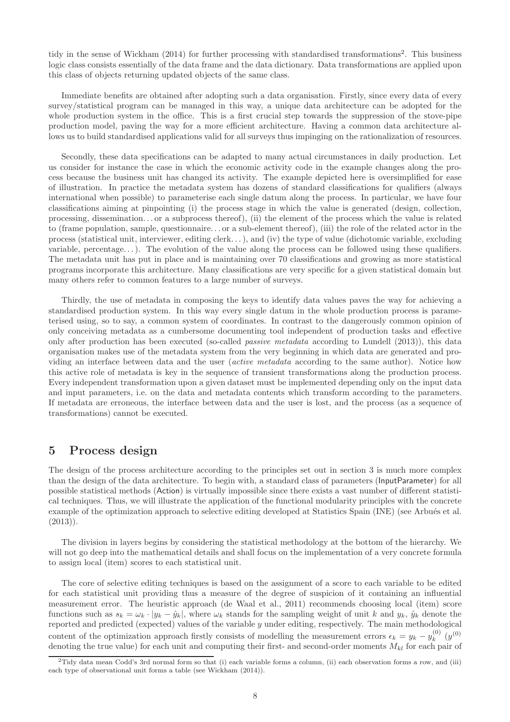tidy in the sense of Wickham (2014) for further processing with standardised transformations<sup>2</sup>. This business logic class consists essentially of the data frame and the data dictionary. Data transformations are applied upon this class of objects returning updated objects of the same class.

Immediate benefits are obtained after adopting such a data organisation. Firstly, since every data of every survey/statistical program can be managed in this way, a unique data architecture can be adopted for the whole production system in the office. This is a first crucial step towards the suppression of the stove-pipe production model, paving the way for a more efficient architecture. Having a common data architecture allows us to build standardised applications valid for all surveys thus impinging on the rationalization of resources.

Secondly, these data specifications can be adapted to many actual circumstances in daily production. Let us consider for instance the case in which the economic activity code in the example changes along the process because the business unit has changed its activity. The example depicted here is oversimplified for ease of illustration. In practice the metadata system has dozens of standard classifications for qualifiers (always international when possible) to parameterise each single datum along the process. In particular, we have four classifications aiming at pinpointing (i) the process stage in which the value is generated (design, collection, processing, dissemination. . . or a subprocess thereof), (ii) the element of the process which the value is related to (frame population, sample, questionnaire. . . or a sub-element thereof), (iii) the role of the related actor in the process (statistical unit, interviewer, editing clerk. . . ), and (iv) the type of value (dichotomic variable, excluding variable, percentage...). The evolution of the value along the process can be followed using these qualifiers. The metadata unit has put in place and is maintaining over 70 classifications and growing as more statistical programs incorporate this architecture. Many classifications are very specific for a given statistical domain but many others refer to common features to a large number of surveys.

Thirdly, the use of metadata in composing the keys to identify data values paves the way for achieving a standardised production system. In this way every single datum in the whole production process is parameterised using, so to say, a common system of coordinates. In contrast to the dangerously common opinion of only conceiving metadata as a cumbersome documenting tool independent of production tasks and effective only after production has been executed (so-called passive metadata according to Lundell (2013)), this data organisation makes use of the metadata system from the very beginning in which data are generated and providing an interface between data and the user (active metadata according to the same author). Notice how this active role of metadata is key in the sequence of transient transformations along the production process. Every independent transformation upon a given dataset must be implemented depending only on the input data and input parameters, i.e. on the data and metadata contents which transform according to the parameters. If metadata are erroneous, the interface between data and the user is lost, and the process (as a sequence of transformations) cannot be executed.

### 5 Process design

The design of the process architecture according to the principles set out in section 3 is much more complex than the design of the data architecture. To begin with, a standard class of parameters (InputParameter) for all possible statistical methods (Action) is virtually impossible since there exists a vast number of different statistical techniques. Thus, we will illustrate the application of the functional modularity principles with the concrete example of the optimization approach to selective editing developed at Statistics Spain (INE) (see Arbués et al.  $(2013)$ .

The division in layers begins by considering the statistical methodology at the bottom of the hierarchy. We will not go deep into the mathematical details and shall focus on the implementation of a very concrete formula to assign local (item) scores to each statistical unit.

The core of selective editing techniques is based on the assignment of a score to each variable to be edited for each statistical unit providing thus a measure of the degree of suspicion of it containing an influential measurement error. The heuristic approach (de Waal et al., 2011) recommends choosing local (item) score functions such as  $s_k = \omega_k \cdot |y_k - \hat{y}_k|$ , where  $\omega_k$  stands for the sampling weight of unit k and  $y_k$ ,  $\hat{y}_k$  denote the reported and predicted (expected) values of the variable y under editing, respectively. The main methodological content of the optimization approach firstly consists of modelling the measurement errors  $\epsilon_k = y_k - y_k^{(0)}$  $\binom{0}{k}$   $(y^{(0)}$ denoting the true value) for each unit and computing their first- and second-order moments  $M_{kl}$  for each pair of

<sup>&</sup>lt;sup>2</sup>Tidy data mean Codd's 3rd normal form so that (i) each variable forms a column, (ii) each observation forms a row, and (iii) each type of observational unit forms a table (see Wickham (2014)).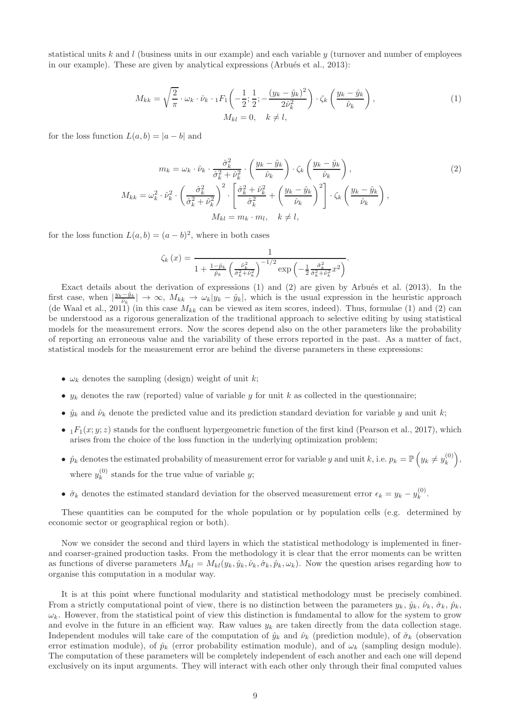statistical units k and l (business units in our example) and each variable  $y$  (turnover and number of employees in our example). These are given by analytical expressions (Arbués et al.,  $2013$ ):

$$
M_{kk} = \sqrt{\frac{2}{\pi}} \cdot \omega_k \cdot \hat{\nu}_k \cdot {}_1F_1\left(-\frac{1}{2}; \frac{1}{2}; -\frac{(y_k - \hat{y}_k)^2}{2\hat{\nu}_k^2}\right) \cdot \zeta_k \left(\frac{y_k - \hat{y}_k}{\hat{\nu}_k}\right),
$$
  
\n
$$
M_{kl} = 0, \quad k \neq l,
$$
\n(1)

for the loss function  $L(a, b) = |a - b|$  and

$$
m_k = \omega_k \cdot \hat{\nu}_k \cdot \frac{\hat{\sigma}_k^2}{\hat{\sigma}_k^2 + \hat{\nu}_k^2} \cdot \left(\frac{y_k - \hat{y}_k}{\hat{\nu}_k}\right) \cdot \zeta_k \left(\frac{y_k - \hat{y}_k}{\hat{\nu}_k}\right),
$$
  
\n
$$
M_{kk} = \omega_k^2 \cdot \hat{\nu}_k^2 \cdot \left(\frac{\hat{\sigma}_k^2}{\hat{\sigma}_k^2 + \hat{\nu}_k^2}\right)^2 \cdot \left[\frac{\hat{\sigma}_k^2 + \hat{\nu}_k^2}{\hat{\sigma}_k^2} + \left(\frac{y_k - \hat{y}_k}{\hat{\nu}_k}\right)^2\right] \cdot \zeta_k \left(\frac{y_k - \hat{y}_k}{\hat{\nu}_k}\right),
$$
  
\n
$$
M_{kl} = m_k \cdot m_l, \quad k \neq l,
$$
\n(2)

for the loss function  $L(a, b) = (a - b)^2$ , where in both cases

$$
\zeta_k(x) = \frac{1}{1 + \frac{1 - \hat{p}_k}{\hat{p}_k} \left(\frac{\hat{p}_k^2}{\hat{\sigma}_k^2 + \hat{p}_k^2}\right)^{-1/2} \exp\left(-\frac{1}{2} \frac{\hat{\sigma}_k^2}{\hat{\sigma}_k^2 + \hat{p}_k^2} x^2\right)}.
$$

Exact details about the derivation of expressions  $(1)$  and  $(2)$  are given by Arbués et al.  $(2013)$ . In the first case, when  $|\frac{y_k-\hat{y}_k}{\hat{\nu}_k}| \to \infty$ ,  $M_{kk} \to \omega_k |y_k - \hat{y}_k|$ , which is the usual expression in the heuristic approach (de Waal et al., 2011) (in this case  $M_{kk}$  can be viewed as item scores, indeed). Thus, formulae (1) and (2) can be understood as a rigorous generalization of the traditional approach to selective editing by using statistical models for the measurement errors. Now the scores depend also on the other parameters like the probability of reporting an erroneous value and the variability of these errors reported in the past. As a matter of fact, statistical models for the measurement error are behind the diverse parameters in these expressions:

- $\omega_k$  denotes the sampling (design) weight of unit k;
- $y_k$  denotes the raw (reported) value of variable y for unit k as collected in the questionnaire;
- $\hat{y}_k$  and  $\hat{\nu}_k$  denote the predicted value and its prediction standard deviation for variable y and unit k;
- $_1F_1(x; y; z)$  stands for the confluent hypergeometric function of the first kind (Pearson et al., 2017), which arises from the choice of the loss function in the underlying optimization problem;
- $\hat{p}_k$  denotes the estimated probability of measurement error for variable y and unit k, i.e.  $p_k = \mathbb{P}\left(y_k \neq y_k^{(0)}\right)$  $\binom{(0)}{k},$ where  $y_k^{(0)}$  $\kappa_k^{(0)}$  stands for the true value of variable y;
- $\hat{\sigma}_k$  denotes the estimated standard deviation for the observed measurement error  $\epsilon_k = y_k y_k^{(0)}$  $k^{(0)}$ .

These quantities can be computed for the whole population or by population cells (e.g. determined by economic sector or geographical region or both).

Now we consider the second and third layers in which the statistical methodology is implemented in finerand coarser-grained production tasks. From the methodology it is clear that the error moments can be written as functions of diverse parameters  $M_{kl} = M_{kl}(y_k, \hat{y}_k, \hat{\nu}_k, \hat{\sigma}_k, \hat{p}_k, \omega_k)$ . Now the question arises regarding how to organise this computation in a modular way.

It is at this point where functional modularity and statistical methodology must be precisely combined. From a strictly computational point of view, there is no distinction between the parameters  $y_k$ ,  $\hat{y}_k$ ,  $\hat{y}_k$ ,  $\hat{\sigma}_k$ ,  $\hat{\rho}_k$ ,  $\omega_k$ . However, from the statistical point of view this distinction is fundamental to allow for the system to grow and evolve in the future in an efficient way. Raw values  $y_k$  are taken directly from the data collection stage. Independent modules will take care of the computation of  $\hat{y}_k$  and  $\hat{\nu}_k$  (prediction module), of  $\hat{\sigma}_k$  (observation error estimation module), of  $\hat{p}_k$  (error probability estimation module), and of  $\omega_k$  (sampling design module). The computation of these parameters will be completely independent of each another and each one will depend exclusively on its input arguments. They will interact with each other only through their final computed values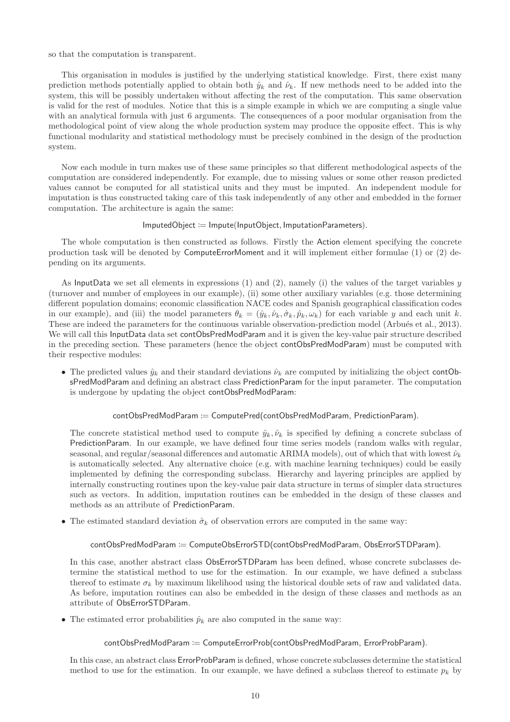so that the computation is transparent.

This organisation in modules is justified by the underlying statistical knowledge. First, there exist many prediction methods potentially applied to obtain both  $\hat{y}_k$  and  $\hat{\nu}_k$ . If new methods need to be added into the system, this will be possibly undertaken without affecting the rest of the computation. This same observation is valid for the rest of modules. Notice that this is a simple example in which we are computing a single value with an analytical formula with just 6 arguments. The consequences of a poor modular organisation from the methodological point of view along the whole production system may produce the opposite effect. This is why functional modularity and statistical methodology must be precisely combined in the design of the production system.

Now each module in turn makes use of these same principles so that different methodological aspects of the computation are considered independently. For example, due to missing values or some other reason predicted values cannot be computed for all statistical units and they must be imputed. An independent module for imputation is thus constructed taking care of this task independently of any other and embedded in the former computation. The architecture is again the same:

#### $ImputedObject := Impute(InputObject, ImputationParameters).$

The whole computation is then constructed as follows. Firstly the Action element specifying the concrete production task will be denoted by ComputeErrorMoment and it will implement either formulae (1) or (2) depending on its arguments.

As InputData we set all elements in expressions  $(1)$  and  $(2)$ , namely  $(i)$  the values of the target variables y (turnover and number of employees in our example), (ii) some other auxiliary variables (e.g. those determining different population domains; economic classification NACE codes and Spanish geographical classification codes in our example), and (iii) the model parameters  $\theta_k = (\hat{y}_k, \hat{\nu}_k, \hat{\sigma}_k, \hat{p}_k, \omega_k)$  for each variable y and each unit k. These are indeed the parameters for the continuous variable observation-prediction model (Arbués et al., 2013). We will call this InputData data set contObsPredModParam and it is given the key-value pair structure described in the preceding section. These parameters (hence the object contObsPredModParam) must be computed with their respective modules:

• The predicted values  $\hat{y}_k$  and their standard deviations  $\hat{\nu}_k$  are computed by initializing the object contObsPredModParam and defining an abstract class PredictionParam for the input parameter. The computation is undergone by updating the object contObsPredModParam:

#### contObsPredModParam := ComputePred(contObsPredModParam, PredictionParam).

The concrete statistical method used to compute  $\hat{y}_k, \hat{\nu}_k$  is specified by defining a concrete subclass of PredictionParam. In our example, we have defined four time series models (random walks with regular, seasonal, and regular/seasonal differences and automatic ARIMA models), out of which that with lowest  $\hat{\nu}_k$ is automatically selected. Any alternative choice (e.g. with machine learning techniques) could be easily implemented by defining the corresponding subclass. Hierarchy and layering principles are applied by internally constructing routines upon the key-value pair data structure in terms of simpler data structures such as vectors. In addition, imputation routines can be embedded in the design of these classes and methods as an attribute of PredictionParam.

• The estimated standard deviation  $\hat{\sigma}_k$  of observation errors are computed in the same way:

#### contObsPredModParam := ComputeObsErrorSTD(contObsPredModParam, ObsErrorSTDParam).

In this case, another abstract class ObsErrorSTDParam has been defined, whose concrete subclasses determine the statistical method to use for the estimation. In our example, we have defined a subclass thereof to estimate  $\sigma_k$  by maximum likelihood using the historical double sets of raw and validated data. As before, imputation routines can also be embedded in the design of these classes and methods as an attribute of ObsErrorSTDParam.

• The estimated error probabilities  $\hat{p}_k$  are also computed in the same way:

### contObsPredModParam := ComputeErrorProb(contObsPredModParam, ErrorProbParam).

In this case, an abstract class ErrorProbParam is defined, whose concrete subclasses determine the statistical method to use for the estimation. In our example, we have defined a subclass thereof to estimate  $p_k$  by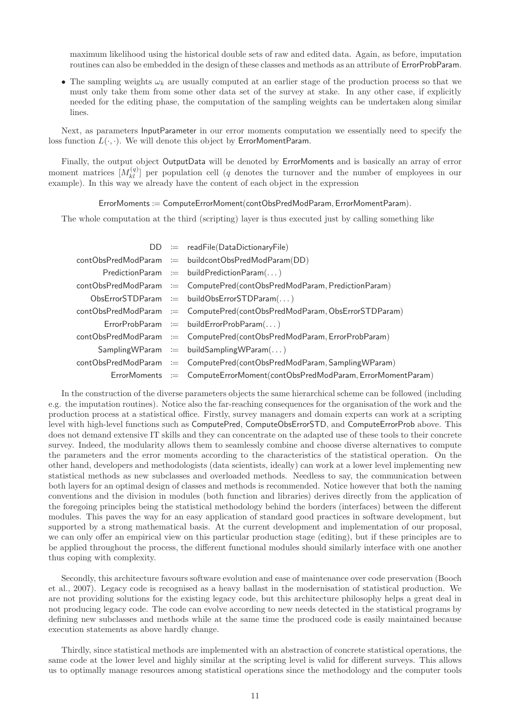maximum likelihood using the historical double sets of raw and edited data. Again, as before, imputation routines can also be embedded in the design of these classes and methods as an attribute of ErrorProbParam.

• The sampling weights  $\omega_k$  are usually computed at an earlier stage of the production process so that we must only take them from some other data set of the survey at stake. In any other case, if explicitly needed for the editing phase, the computation of the sampling weights can be undertaken along similar lines.

Next, as parameters InputParameter in our error moments computation we essentially need to specify the loss function  $L(\cdot, \cdot)$ . We will denote this object by ErrorMomentParam.

Finally, the output object OutputData will be denoted by ErrorMoments and is basically an array of error moment matrices  $[M_{kl}^{(q)}]$  per population cell (q denotes the turnover and the number of employees in our example). In this way we already have the content of each object in the expression

ErrorMoments := ComputeErrorMoment(contObsPredModParam, ErrorMomentParam).

The whole computation at the third (scripting) layer is thus executed just by calling something like

|  | $DD := readFile(DataDictionaryFile)$                                      |
|--|---------------------------------------------------------------------------|
|  | $contObsPredModParam := buildcontObsPredModParam(DD)$                     |
|  | $PredictionParam := buildPredictionParam()$                               |
|  | contObsPredModParam := ComputePred(contObsPredModParam, PredictionParam)  |
|  | $ObsErrorSTDParam := buildObsErrorSTDParam()$                             |
|  | contObsPredModParam := ComputePred(contObsPredModParam, ObsErrorSTDParam) |
|  | $ErrorProblem = buildErrorProblem()$                                      |
|  | contObsPredModParam := ComputePred(contObsPredModParam, ErrorProbParam)   |
|  | $SamplingWParam := buildSamplingWParam()$                                 |
|  | contObsPredModParam := ComputePred(contObsPredModParam, SamplingWParam)   |
|  | ErrorMoments := ComputeErrorMoment(contObsPredModParam, ErrorMomentParam) |

In the construction of the diverse parameters objects the same hierarchical scheme can be followed (including e.g. the imputation routines). Notice also the far-reaching consequences for the organisation of the work and the production process at a statistical office. Firstly, survey managers and domain experts can work at a scripting level with high-level functions such as ComputePred, ComputeObsErrorSTD, and ComputeErrorProb above. This does not demand extensive IT skills and they can concentrate on the adapted use of these tools to their concrete survey. Indeed, the modularity allows them to seamlessly combine and choose diverse alternatives to compute the parameters and the error moments according to the characteristics of the statistical operation. On the other hand, developers and methodologists (data scientists, ideally) can work at a lower level implementing new statistical methods as new subclasses and overloaded methods. Needless to say, the communication between both layers for an optimal design of classes and methods is recommended. Notice however that both the naming conventions and the division in modules (both function and libraries) derives directly from the application of the foregoing principles being the statistical methodology behind the borders (interfaces) between the different modules. This paves the way for an easy application of standard good practices in software development, but supported by a strong mathematical basis. At the current development and implementation of our proposal, we can only offer an empirical view on this particular production stage (editing), but if these principles are to be applied throughout the process, the different functional modules should similarly interface with one another thus coping with complexity.

Secondly, this architecture favours software evolution and ease of maintenance over code preservation (Booch et al., 2007). Legacy code is recognised as a heavy ballast in the modernisation of statistical production. We are not providing solutions for the existing legacy code, but this architecture philosophy helps a great deal in not producing legacy code. The code can evolve according to new needs detected in the statistical programs by defining new subclasses and methods while at the same time the produced code is easily maintained because execution statements as above hardly change.

Thirdly, since statistical methods are implemented with an abstraction of concrete statistical operations, the same code at the lower level and highly similar at the scripting level is valid for different surveys. This allows us to optimally manage resources among statistical operations since the methodology and the computer tools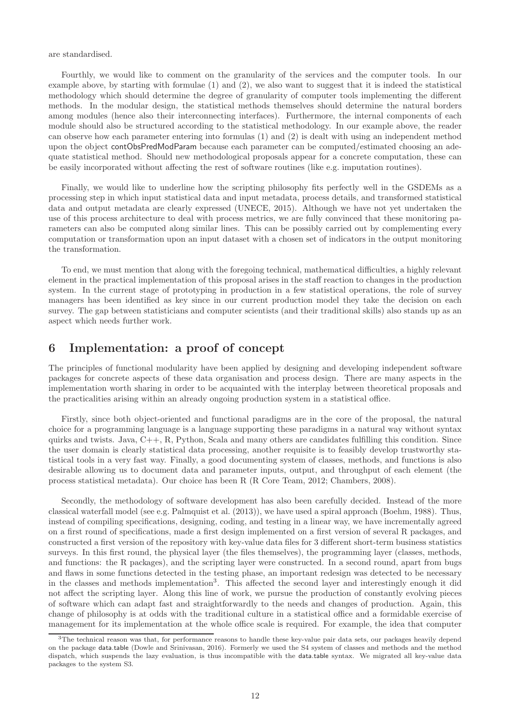are standardised.

Fourthly, we would like to comment on the granularity of the services and the computer tools. In our example above, by starting with formulae (1) and (2), we also want to suggest that it is indeed the statistical methodology which should determine the degree of granularity of computer tools implementing the different methods. In the modular design, the statistical methods themselves should determine the natural borders among modules (hence also their interconnecting interfaces). Furthermore, the internal components of each module should also be structured according to the statistical methodology. In our example above, the reader can observe how each parameter entering into formulas (1) and (2) is dealt with using an independent method upon the object contObsPredModParam because each parameter can be computed/estimated choosing an adequate statistical method. Should new methodological proposals appear for a concrete computation, these can be easily incorporated without affecting the rest of software routines (like e.g. imputation routines).

Finally, we would like to underline how the scripting philosophy fits perfectly well in the GSDEMs as a processing step in which input statistical data and input metadata, process details, and transformed statistical data and output metadata are clearly expressed (UNECE, 2015). Although we have not yet undertaken the use of this process architecture to deal with process metrics, we are fully convinced that these monitoring parameters can also be computed along similar lines. This can be possibly carried out by complementing every computation or transformation upon an input dataset with a chosen set of indicators in the output monitoring the transformation.

To end, we must mention that along with the foregoing technical, mathematical difficulties, a highly relevant element in the practical implementation of this proposal arises in the staff reaction to changes in the production system. In the current stage of prototyping in production in a few statistical operations, the role of survey managers has been identified as key since in our current production model they take the decision on each survey. The gap between statisticians and computer scientists (and their traditional skills) also stands up as an aspect which needs further work.

### 6 Implementation: a proof of concept

The principles of functional modularity have been applied by designing and developing independent software packages for concrete aspects of these data organisation and process design. There are many aspects in the implementation worth sharing in order to be acquainted with the interplay between theoretical proposals and the practicalities arising within an already ongoing production system in a statistical office.

Firstly, since both object-oriented and functional paradigms are in the core of the proposal, the natural choice for a programming language is a language supporting these paradigms in a natural way without syntax quirks and twists. Java,  $C_{++}$ , R, Python, Scala and many others are candidates fulfilling this condition. Since the user domain is clearly statistical data processing, another requisite is to feasibly develop trustworthy statistical tools in a very fast way. Finally, a good documenting system of classes, methods, and functions is also desirable allowing us to document data and parameter inputs, output, and throughput of each element (the process statistical metadata). Our choice has been R (R Core Team, 2012; Chambers, 2008).

Secondly, the methodology of software development has also been carefully decided. Instead of the more classical waterfall model (see e.g. Palmquist et al. (2013)), we have used a spiral approach (Boehm, 1988). Thus, instead of compiling specifications, designing, coding, and testing in a linear way, we have incrementally agreed on a first round of specifications, made a first design implemented on a first version of several R packages, and constructed a first version of the repository with key-value data files for 3 different short-term business statistics surveys. In this first round, the physical layer (the files themselves), the programming layer (classes, methods, and functions: the R packages), and the scripting layer were constructed. In a second round, apart from bugs and flaws in some functions detected in the testing phase, an important redesign was detected to be necessary in the classes and methods implementation<sup>3</sup>. This affected the second layer and interestingly enough it did not affect the scripting layer. Along this line of work, we pursue the production of constantly evolving pieces of software which can adapt fast and straightforwardly to the needs and changes of production. Again, this change of philosophy is at odds with the traditional culture in a statistical office and a formidable exercise of management for its implementation at the whole office scale is required. For example, the idea that computer

<sup>&</sup>lt;sup>3</sup>The technical reason was that, for performance reasons to handle these key-value pair data sets, our packages heavily depend on the package data.table (Dowle and Srinivasan, 2016). Formerly we used the S4 system of classes and methods and the method dispatch, which suspends the lazy evaluation, is thus incompatible with the data.table syntax. We migrated all key-value data packages to the system S3.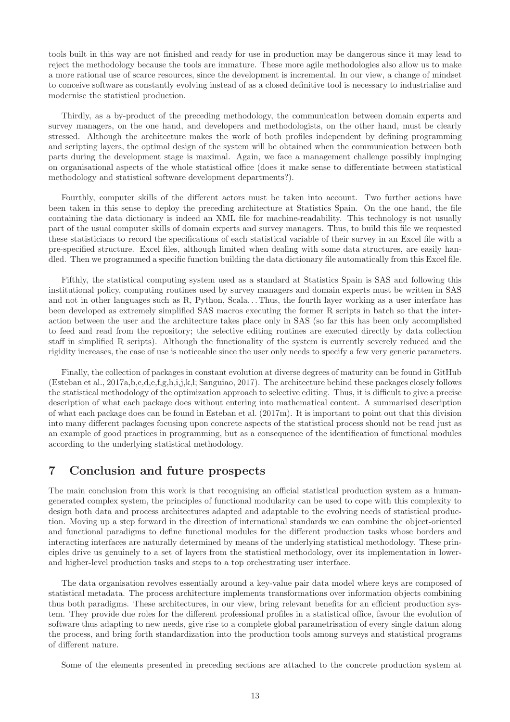tools built in this way are not finished and ready for use in production may be dangerous since it may lead to reject the methodology because the tools are immature. These more agile methodologies also allow us to make a more rational use of scarce resources, since the development is incremental. In our view, a change of mindset to conceive software as constantly evolving instead of as a closed definitive tool is necessary to industrialise and modernise the statistical production.

Thirdly, as a by-product of the preceding methodology, the communication between domain experts and survey managers, on the one hand, and developers and methodologists, on the other hand, must be clearly stressed. Although the architecture makes the work of both profiles independent by defining programming and scripting layers, the optimal design of the system will be obtained when the communication between both parts during the development stage is maximal. Again, we face a management challenge possibly impinging on organisational aspects of the whole statistical office (does it make sense to differentiate between statistical methodology and statistical software development departments?).

Fourthly, computer skills of the different actors must be taken into account. Two further actions have been taken in this sense to deploy the preceding architecture at Statistics Spain. On the one hand, the file containing the data dictionary is indeed an XML file for machine-readability. This technology is not usually part of the usual computer skills of domain experts and survey managers. Thus, to build this file we requested these statisticians to record the specifications of each statistical variable of their survey in an Excel file with a pre-specified structure. Excel files, although limited when dealing with some data structures, are easily handled. Then we programmed a specific function building the data dictionary file automatically from this Excel file.

Fifthly, the statistical computing system used as a standard at Statistics Spain is SAS and following this institutional policy, computing routines used by survey managers and domain experts must be written in SAS and not in other languages such as R, Python, Scala. . . Thus, the fourth layer working as a user interface has been developed as extremely simplified SAS macros executing the former R scripts in batch so that the interaction between the user and the architecture takes place only in SAS (so far this has been only accomplished to feed and read from the repository; the selective editing routines are executed directly by data collection staff in simplified R scripts). Although the functionality of the system is currently severely reduced and the rigidity increases, the ease of use is noticeable since the user only needs to specify a few very generic parameters.

Finally, the collection of packages in constant evolution at diverse degrees of maturity can be found in GitHub (Esteban et al., 2017a,b,c,d,e,f,g,h,i,j,k,l; Sanguiao, 2017). The architecture behind these packages closely follows the statistical methodology of the optimization approach to selective editing. Thus, it is difficult to give a precise description of what each package does without entering into mathematical content. A summarised description of what each package does can be found in Esteban et al. (2017m). It is important to point out that this division into many different packages focusing upon concrete aspects of the statistical process should not be read just as an example of good practices in programming, but as a consequence of the identification of functional modules according to the underlying statistical methodology.

### 7 Conclusion and future prospects

The main conclusion from this work is that recognising an official statistical production system as a humangenerated complex system, the principles of functional modularity can be used to cope with this complexity to design both data and process architectures adapted and adaptable to the evolving needs of statistical production. Moving up a step forward in the direction of international standards we can combine the object-oriented and functional paradigms to define functional modules for the different production tasks whose borders and interacting interfaces are naturally determined by means of the underlying statistical methodology. These principles drive us genuinely to a set of layers from the statistical methodology, over its implementation in lowerand higher-level production tasks and steps to a top orchestrating user interface.

The data organisation revolves essentially around a key-value pair data model where keys are composed of statistical metadata. The process architecture implements transformations over information objects combining thus both paradigms. These architectures, in our view, bring relevant benefits for an efficient production system. They provide due roles for the different professional profiles in a statistical office, favour the evolution of software thus adapting to new needs, give rise to a complete global parametrisation of every single datum along the process, and bring forth standardization into the production tools among surveys and statistical programs of different nature.

Some of the elements presented in preceding sections are attached to the concrete production system at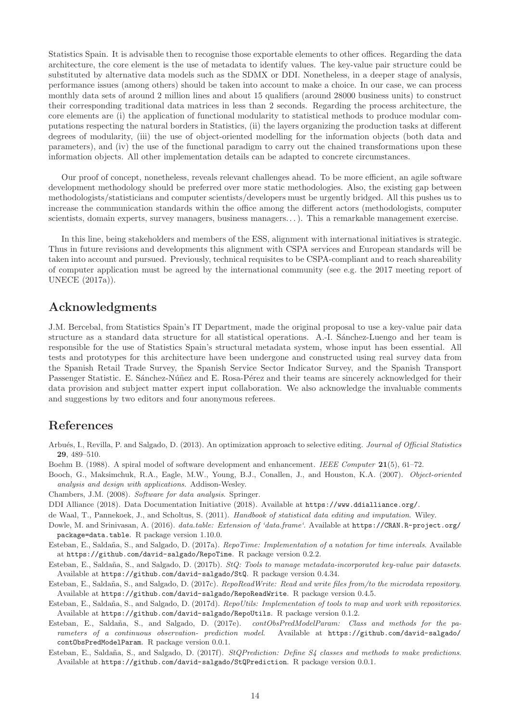Statistics Spain. It is advisable then to recognise those exportable elements to other offices. Regarding the data architecture, the core element is the use of metadata to identify values. The key-value pair structure could be substituted by alternative data models such as the SDMX or DDI. Nonetheless, in a deeper stage of analysis, performance issues (among others) should be taken into account to make a choice. In our case, we can process monthly data sets of around 2 million lines and about 15 qualifiers (around 28000 business units) to construct their corresponding traditional data matrices in less than 2 seconds. Regarding the process architecture, the core elements are (i) the application of functional modularity to statistical methods to produce modular computations respecting the natural borders in Statistics, (ii) the layers organizing the production tasks at different degrees of modularity, (iii) the use of object-oriented modelling for the information objects (both data and parameters), and (iv) the use of the functional paradigm to carry out the chained transformations upon these information objects. All other implementation details can be adapted to concrete circumstances.

Our proof of concept, nonetheless, reveals relevant challenges ahead. To be more efficient, an agile software development methodology should be preferred over more static methodologies. Also, the existing gap between methodologists/statisticians and computer scientists/developers must be urgently bridged. All this pushes us to increase the communication standards within the office among the different actors (methodologists, computer scientists, domain experts, survey managers, business managers...). This a remarkable management exercise.

In this line, being stakeholders and members of the ESS, alignment with international initiatives is strategic. Thus in future revisions and developments this alignment with CSPA services and European standards will be taken into account and pursued. Previously, technical requisites to be CSPA-compliant and to reach shareability of computer application must be agreed by the international community (see e.g. the 2017 meeting report of UNECE (2017a)).

# Acknowledgments

J.M. Bercebal, from Statistics Spain's IT Department, made the original proposal to use a key-value pair data structure as a standard data structure for all statistical operations. A.-I. Sánchez-Luengo and her team is responsible for the use of Statistics Spain's structural metadata system, whose input has been essential. All tests and prototypes for this architecture have been undergone and constructed using real survey data from the Spanish Retail Trade Survey, the Spanish Service Sector Indicator Survey, and the Spanish Transport Passenger Statistic. E. Sánchez-Núñez and E. Rosa-Pérez and their teams are sincerely acknowledged for their data provision and subject matter expert input collaboration. We also acknowledge the invaluable comments and suggestions by two editors and four anonymous referees.

# References

- Arbués, I., Revilla, P. and Salgado, D. (2013). An optimization approach to selective editing. Journal of Official Statistics 29, 489–510.
- Boehm B. (1988). A spiral model of software development and enhancement. IEEE Computer 21(5), 61–72.
- Booch, G., Maksimchuk, R.A., Eagle, M.W., Young, B.J., Conallen, J., and Houston, K.A. (2007). Object-oriented analysis and design with applications. Addison-Wesley.
- Chambers, J.M. (2008). Software for data analysis. Springer.
- DDI Alliance (2018). Data Documentation Initiative (2018). Available at https://www.ddialliance.org/.
- de Waal, T., Pannekoek, J., and Scholtus, S. (2011). Handbook of statistical data editing and imputation. Wiley.
- Dowle, M. and Srinivasan, A. (2016). data.table: Extension of 'data.frame'. Available at https://CRAN.R-project.org/ package=data.table. R package version 1.10.0.
- Esteban, E., Saldaña, S., and Salgado, D. (2017a). RepoTime: Implementation of a notation for time intervals. Available at https://github.com/david-salgado/RepoTime. R package version 0.2.2.
- Esteban, E., Saldaña, S., and Salgado, D. (2017b). StQ: Tools to manage metadata-incorporated key-value pair datasets. Available at https://github.com/david-salgado/StQ. R package version 0.4.34.
- Esteban, E., Saldaña, S., and Salgado, D. (2017c). RepoReadWrite: Read and write files from/to the microdata repository. Available at https://github.com/david-salgado/RepoReadWrite. R package version 0.4.5.
- Esteban, E., Saldaña, S., and Salgado, D. (2017d). RepoUtils: Implementation of tools to map and work with repositories. Available at https://github.com/david-salgado/RepoUtils. R package version 0.1.2.
- Esteban, E., Saldaña, S., and Salgado, D. (2017e). contObsPredModelParam: Class and methods for the parameters of a continuous observation- prediction model. Available at https://github.com/david-salgado/ contObsPredModelParam. R package version 0.0.1.
- Esteban, E., Saldaña, S., and Salgado, D. (2017f). StQPrediction: Define S4 classes and methods to make predictions. Available at https://github.com/david-salgado/StQPrediction. R package version 0.0.1.